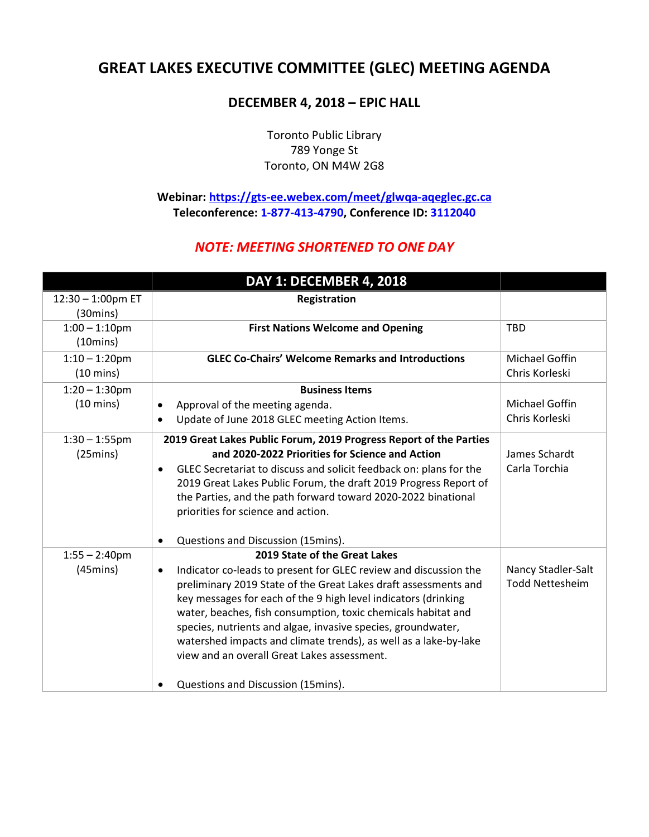## **GREAT LAKES EXECUTIVE COMMITTEE (GLEC) MEETING AGENDA**

## **DECEMBER 4, 2018 – EPIC HALL**

Toronto Public Library 789 Yonge St Toronto, ON M4W 2G8

**Webinar:<https://gts-ee.webex.com/meet/glwqa-aqeglec.gc.ca> Teleconference: 1-877-413-4790, Conference ID: 3112040** 

## *NOTE: MEETING SHORTENED TO ONE DAY*

|                                         | DAY 1: DECEMBER 4, 2018                                                                                                                                                                                                                                                                                                                                                                                                                                                                                                          |                                              |
|-----------------------------------------|----------------------------------------------------------------------------------------------------------------------------------------------------------------------------------------------------------------------------------------------------------------------------------------------------------------------------------------------------------------------------------------------------------------------------------------------------------------------------------------------------------------------------------|----------------------------------------------|
| 12:30 - 1:00pm ET<br>$(30 \text{mins})$ | Registration                                                                                                                                                                                                                                                                                                                                                                                                                                                                                                                     |                                              |
| $1:00 - 1:10$ pm<br>$(10 \text{mins})$  | <b>First Nations Welcome and Opening</b>                                                                                                                                                                                                                                                                                                                                                                                                                                                                                         | <b>TBD</b>                                   |
| $1:10 - 1:20$ pm<br>$(10 \text{ mins})$ | <b>GLEC Co-Chairs' Welcome Remarks and Introductions</b>                                                                                                                                                                                                                                                                                                                                                                                                                                                                         | Michael Goffin<br>Chris Korleski             |
| $1:20 - 1:30$ pm                        | <b>Business Items</b>                                                                                                                                                                                                                                                                                                                                                                                                                                                                                                            |                                              |
| $(10 \text{ mins})$                     | Approval of the meeting agenda.<br>$\bullet$<br>Update of June 2018 GLEC meeting Action Items.                                                                                                                                                                                                                                                                                                                                                                                                                                   | <b>Michael Goffin</b><br>Chris Korleski      |
| $1:30 - 1:55$ pm<br>(25mins)            | 2019 Great Lakes Public Forum, 2019 Progress Report of the Parties<br>and 2020-2022 Priorities for Science and Action<br>GLEC Secretariat to discuss and solicit feedback on: plans for the<br>2019 Great Lakes Public Forum, the draft 2019 Progress Report of<br>the Parties, and the path forward toward 2020-2022 binational<br>priorities for science and action.<br>Questions and Discussion (15mins).                                                                                                                     | James Schardt<br>Carla Torchia               |
| $1:55 - 2:40$ pm<br>$(45 \text{mins})$  | 2019 State of the Great Lakes<br>Indicator co-leads to present for GLEC review and discussion the<br>preliminary 2019 State of the Great Lakes draft assessments and<br>key messages for each of the 9 high level indicators (drinking<br>water, beaches, fish consumption, toxic chemicals habitat and<br>species, nutrients and algae, invasive species, groundwater,<br>watershed impacts and climate trends), as well as a lake-by-lake<br>view and an overall Great Lakes assessment.<br>Questions and Discussion (15mins). | Nancy Stadler-Salt<br><b>Todd Nettesheim</b> |